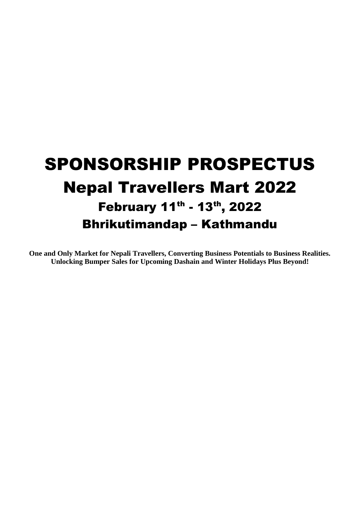# SPONSORSHIP PROSPECTUS Nepal Travellers Mart 2022 February 11<sup>th</sup> - 13<sup>th</sup>, 2022 Bhrikutimandap – Kathmandu

**One and Only Market for Nepali Travellers, Converting Business Potentials to Business Realities. Unlocking Bumper Sales for Upcoming Dashain and Winter Holidays Plus Beyond!**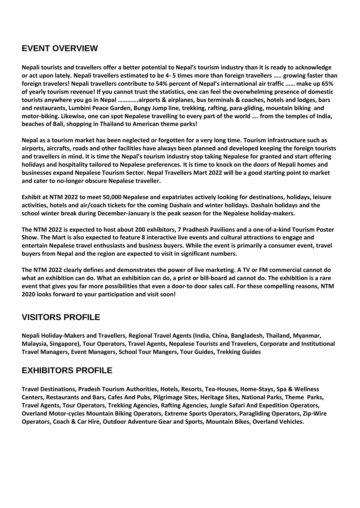# **EVENT OVERVIEW**

**Nepali tourists and travellers offer a better potential to Nepal's tourism industry than it is ready to acknowledge or act upon lately. Nepali travellers estimated to be 4- 5 times more than foreign travellers ….. growing faster than foreign travelers! Nepali travellers contribute to 54% percent of Nepal's international air traffic …… make up 65% of yearly tourism revenue! If you cannot trust the statistics, one can feel the overwhelming presence of domestic tourists anywhere you go in Nepal ………….airports & airplanes, bus terminals & coaches, hotels and lodges, bars and restaurants, Lumbini Peace Garden, Bungy Jump line, trekking, rafting, para-gliding, mountain biking and motor-biking. Likewise, one can spot Nepalese travelling to every part of the world …. from the temples of India, beaches of Bali, shopping in Thailand to American theme parks!** 

**Nepal as a tourism market has been neglected or forgotten for a very long time. Tourism infrastructure such as airports, aircrafts, roads and other facilities have always been planned and developed keeping the foreign tourists and travellers in mind. It is time the Nepal's tourism industry stop taking Nepalese for granted and start offering holidays and hospitality tailored to Nepalese preferences. It is time to knock on the doors of Nepali homes and businesses expand Nepalese Tourism Sector. Nepal Travellers Mart 2022 will be a good starting point to market and cater to no-longer obscure Nepalese traveller.** 

**Exhibit at NTM 2022 to meet 50,000 Nepalese and expatriates actively looking for destinations, holidays, leisure activities, hotels and air/coach tickets for the coming Dashain and winter holidays. Dashain holidays and the school winter break during December-January is the peak season for the Nepalese holiday-makers.** 

**The NTM 2022 is expected to host about 200 exhibitors, 7 Pradhesh Pavilions and a one-of-a-kind Tourism Poster Show. The Mart is also expected to feature 8 interactive live events and cultural attractions to engage and entertain Nepalese travel enthusiasts and business buyers. While the event is primarily a consumer event, travel buyers from Nepal and the region are expected to visit in significant numbers.** 

**The NTM 2022 clearly defines and demonstrates the power of live marketing. A TV or FM commercial cannot do what an exhibition can do. What an exhibition can do, a print or bill-board ad cannot do. The exhibition is a rare event that gives you far more possibilities that even a door-to door sales call. For these compelling reasons, NTM 2020 looks forward to your participation and visit soon!** 

# **VISITORS PROFILE**

**Nepali Holiday-Makers and Travellers, Regional Travel Agents (India, China, Bangladesh, Thailand, Myanmar, Malaysia, Singapore), Tour Operators, Travel Agents, Nepalese Tourists and Travelers, Corporate and Institutional Travel Managers, Event Managers, School Tour Mangers, Tour Guides, Trekking Guides** 

# **EXHIBITORS PROFILE**

**Travel Destinations, Pradesh Tourism Authorities, Hotels, Resorts, Tea-Houses, Home-Stays, Spa & Wellness Centers, Restaurants and Bars, Cafes And Pubs, Pilgrimage Sites, Heritage Sites, National Parks, Theme Parks, Travel Agents, Tour Operators, Trekking Agencies, Rafting Agencies, Jungle Safari And Expedition Operators, Overland Motor-cycles Mountain Biking Operators, Extreme Sports Operators, Paragliding Operators, Zip-Wire Operators, Coach & Car Hire, Outdoor Adventure Gear and Sports, Mountain Bikes, Overland Vehicles.**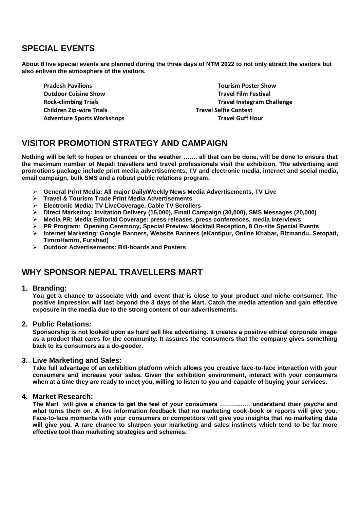## **SPECIAL EVENTS**

**About 8 live special events are planned during the three days of NTM 2022 to not only attract the visitors but also enliven the atmosphere of the visitors.** 

**Pradesh Pavilions Tourism Poster Show Outdoor Cuisine Show Travel Film Festival Accord Film Festival Accord Film Festival Accord Film Festival Accord Film Festival Accord Film Festival Accord Film Festival Accord Film Festival Accord Film Festival Accord Film Children Zip-wire Trials Travel Selfie Contest**  Adventure Sports Workshops **Travel Guff Hour Travel Guff Hour** 

**Rock-climbing Trials Travel Instagram Challenge** 

## **VISITOR PROMOTION STRATEGY AND CAMPAIGN**

**Nothing will be left to hopes or chances or the weather ……. all that can be done, will be done to ensure that the maximum number of Nepali travellers and travel professionals visit the exhibition. The advertising and promotions package include print media advertisements, TV and electronic media, internet and social media, email campaign, bulk SMS and a robust public relations program.** 

- **General Print Media: All major Daily/Weekly News Media Advertisements, TV Live**
- **Travel & Tourism Trade Print Media Advertisements**
- **Electronic Media: TV LiveCoverage, Cable TV Scrollers**
- **Direct Marketing: Invitation Delivery (15,000), Email Campaign (30,000), SMS Messages (20,000)**
- **Media PR: Media Editorial Coverage: press releases, press conferences, media interviews**
- **PR Program: Opening Ceremony, Special Preview Mocktail Reception, 8 On-site Special Events**
- **Internet Marketing: Google Banners, Website Banners (eKantipur, Online Khabar, Bizmandu, Setopati, TimroHamro, Furshad)**
- **Outdoor Advertisements: Bill-boards and Posters**

# **WHY SPONSOR NEPAL TRAVELLERS MART**

## **1. Branding:**

**You get a chance to associate with and event that is close to your product and niche consumer. The positive impression will last beyond the 3 days of the Mart. Catch the media attention and gain effective exposure in the media due to the strong content of our advertisements.**

## **2. Public Relations:**

**Sponsorship is not looked upon as hard sell like advertising. It creates a positive ethical corporate image as a product that cares for the community. It assures the consumers that the company gives something back to its consumers as a do-gooder.**

## **3. Live Marketing and Sales:**

**Take full advantage of an exhibition platform which allows you creative face-to-face interaction with your consumers and increase your sales. Given the exhibition environment, interact with your consumers when at a time they are ready to meet you, willing to listen to you and capable of buying your services.**

## **4. Market Research:**

**The Mart will give a chance to get the feel of your consumers …………… understand their psyche and what turns them on. A live information feedback that no marketing cook-book or reports will give you. Face-to-face moments with your consumers or competitors will give you insights that no marketing data will give you. A rare chance to sharpen your marketing and sales instincts which tend to be far more effective tool than marketing strategies and schemes.**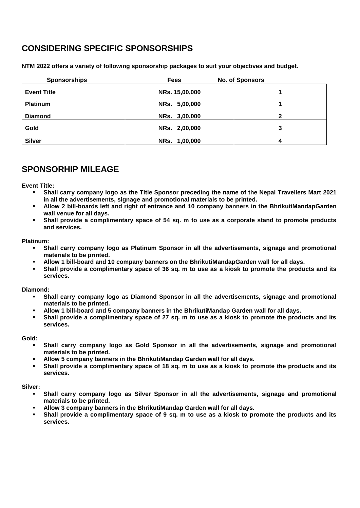# **CONSIDERING SPECIFIC SPONSORSHIPS**

**NTM 2022 offers a variety of following sponsorship packages to suit your objectives and budget.** 

| <b>Sponsorships</b> | <b>Fees</b>    | <b>No. of Sponsors</b> |
|---------------------|----------------|------------------------|
| <b>Event Title</b>  | NRs. 15,00,000 |                        |
| <b>Platinum</b>     | NRs. 5,00,000  |                        |
| <b>Diamond</b>      | NRs. 3,00,000  |                        |
| Gold                | NRs. 2,00,000  |                        |
| <b>Silver</b>       | NRs. 1,00,000  |                        |

## **SPONSORHIP MILEAGE**

**Event Title:** 

- **Shall carry company logo as the Title Sponsor preceding the name of the Nepal Travellers Mart 2021 in all the advertisements, signage and promotional materials to be printed.**
- **Allow 2 bill-boards left and right of entrance and 10 company banners in the BhrikutiMandapGarden wall venue for all days.**
- **Shall provide a complimentary space of 54 sq. m to use as a corporate stand to promote products and services.**

### **Platinum:**

- **Shall carry company logo as Platinum Sponsor in all the advertisements, signage and promotional materials to be printed.**
- **Allow 1 bill-board and 10 company banners on the BhrikutiMandapGarden wall for all days.**
- **Shall provide a complimentary space of 36 sq. m to use as a kiosk to promote the products and its services.**

### **Diamond:**

- **Shall carry company logo as Diamond Sponsor in all the advertisements, signage and promotional materials to be printed.**
- **Allow 1 bill-board and 5 company banners in the BhrikutiMandap Garden wall for all days.**
- **Shall provide a complimentary space of 27 sq. m to use as a kiosk to promote the products and its services.**

#### **Gold:**

- **Shall carry company logo as Gold Sponsor in all the advertisements, signage and promotional materials to be printed.**
- **Allow 5 company banners in the BhrikutiMandap Garden wall for all days.**
- **Shall provide a complimentary space of 18 sq. m to use as a kiosk to promote the products and its services.**

### **Silver:**

- **Shall carry company logo as Silver Sponsor in all the advertisements, signage and promotional materials to be printed.**
- **Allow 3 company banners in the BhrikutiMandap Garden wall for all days.**
- **Shall provide a complimentary space of 9 sq. m to use as a kiosk to promote the products and its services.**